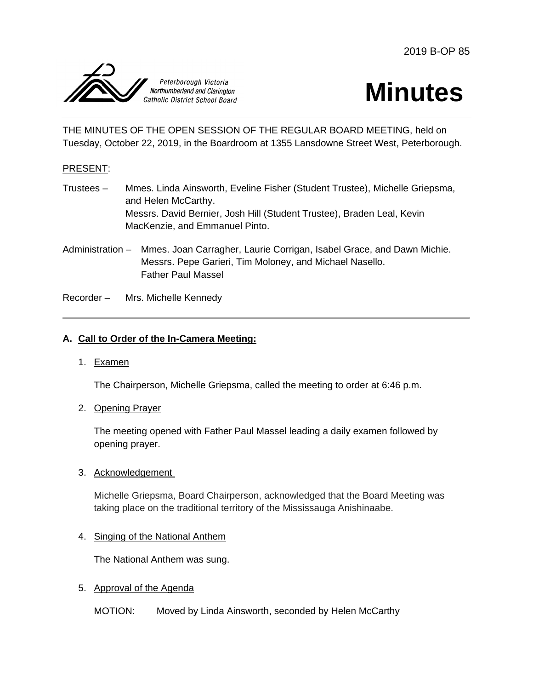2019 B-OP 85





THE MINUTES OF THE OPEN SESSION OF THE REGULAR BOARD MEETING, held on Tuesday, October 22, 2019, in the Boardroom at 1355 Lansdowne Street West, Peterborough.

### PRESENT:

- Trustees Mmes. Linda Ainsworth, Eveline Fisher (Student Trustee), Michelle Griepsma, and Helen McCarthy. Messrs. David Bernier, Josh Hill (Student Trustee), Braden Leal, Kevin MacKenzie, and Emmanuel Pinto.
- Administration Mmes. Joan Carragher, Laurie Corrigan, Isabel Grace, and Dawn Michie. Messrs. Pepe Garieri, Tim Moloney, and Michael Nasello. Father Paul Massel

Recorder – Mrs. Michelle Kennedy

### **A. Call to Order of the In-Camera Meeting:**

1. Examen

The Chairperson, Michelle Griepsma, called the meeting to order at 6:46 p.m.

2. Opening Prayer

The meeting opened with Father Paul Massel leading a daily examen followed by opening prayer.

3. Acknowledgement

Michelle Griepsma, Board Chairperson, acknowledged that the Board Meeting was taking place on the traditional territory of the Mississauga Anishinaabe.

#### 4. Singing of the National Anthem

The National Anthem was sung.

5. Approval of the Agenda

MOTION: Moved by Linda Ainsworth, seconded by Helen McCarthy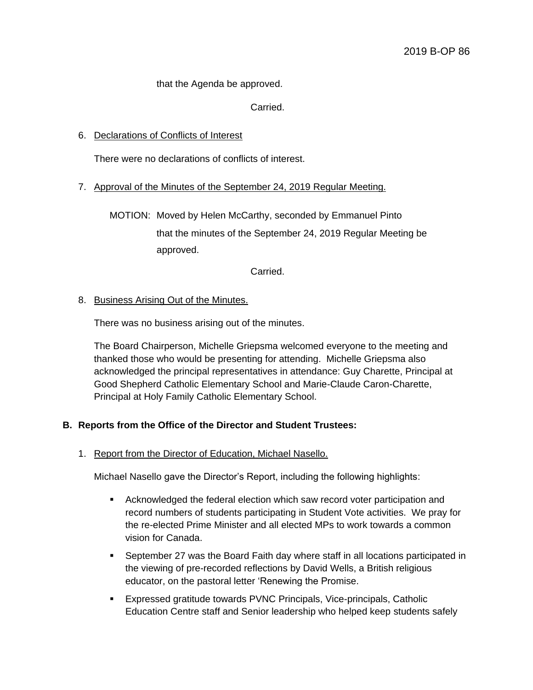that the Agenda be approved.

Carried.

### 6. Declarations of Conflicts of Interest

There were no declarations of conflicts of interest.

### 7. Approval of the Minutes of the September 24, 2019 Regular Meeting.

MOTION: Moved by Helen McCarthy, seconded by Emmanuel Pinto that the minutes of the September 24, 2019 Regular Meeting be approved.

Carried.

#### 8. Business Arising Out of the Minutes.

There was no business arising out of the minutes.

The Board Chairperson, Michelle Griepsma welcomed everyone to the meeting and thanked those who would be presenting for attending. Michelle Griepsma also acknowledged the principal representatives in attendance: Guy Charette, Principal at Good Shepherd Catholic Elementary School and Marie-Claude Caron-Charette, Principal at Holy Family Catholic Elementary School.

#### **B. Reports from the Office of the Director and Student Trustees:**

1. Report from the Director of Education, Michael Nasello.

Michael Nasello gave the Director's Report, including the following highlights:

- Acknowledged the federal election which saw record voter participation and record numbers of students participating in Student Vote activities. We pray for the re-elected Prime Minister and all elected MPs to work towards a common vision for Canada.
- September 27 was the Board Faith day where staff in all locations participated in the viewing of pre-recorded reflections by David Wells, a British religious educator, on the pastoral letter 'Renewing the Promise.
- Expressed gratitude towards PVNC Principals, Vice-principals, Catholic Education Centre staff and Senior leadership who helped keep students safely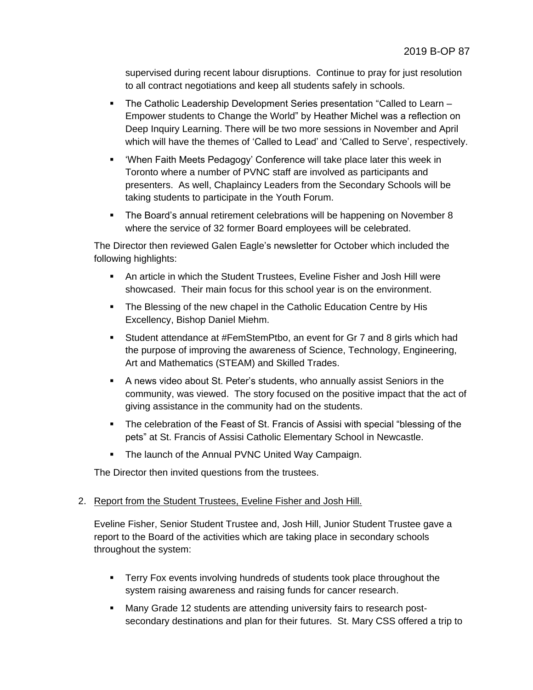supervised during recent labour disruptions. Continue to pray for just resolution to all contract negotiations and keep all students safely in schools.

- The Catholic Leadership Development Series presentation "Called to Learn Empower students to Change the World" by Heather Michel was a reflection on Deep Inquiry Learning. There will be two more sessions in November and April which will have the themes of 'Called to Lead' and 'Called to Serve', respectively.
- 'When Faith Meets Pedagogy' Conference will take place later this week in Toronto where a number of PVNC staff are involved as participants and presenters. As well, Chaplaincy Leaders from the Secondary Schools will be taking students to participate in the Youth Forum.
- The Board's annual retirement celebrations will be happening on November 8 where the service of 32 former Board employees will be celebrated.

The Director then reviewed Galen Eagle's newsletter for October which included the following highlights:

- An article in which the Student Trustees, Eveline Fisher and Josh Hill were showcased. Their main focus for this school year is on the environment.
- The Blessing of the new chapel in the Catholic Education Centre by His Excellency, Bishop Daniel Miehm.
- Student attendance at #FemStemPtbo, an event for Gr 7 and 8 girls which had the purpose of improving the awareness of Science, Technology, Engineering, Art and Mathematics (STEAM) and Skilled Trades.
- A news video about St. Peter's students, who annually assist Seniors in the community, was viewed. The story focused on the positive impact that the act of giving assistance in the community had on the students.
- The celebration of the Feast of St. Francis of Assisi with special "blessing of the pets" at St. Francis of Assisi Catholic Elementary School in Newcastle.
- **The launch of the Annual PVNC United Way Campaign.**

The Director then invited questions from the trustees.

# 2. Report from the Student Trustees, Eveline Fisher and Josh Hill.

Eveline Fisher, Senior Student Trustee and, Josh Hill, Junior Student Trustee gave a report to the Board of the activities which are taking place in secondary schools throughout the system:

- **Terry Fox events involving hundreds of students took place throughout the** system raising awareness and raising funds for cancer research.
- Many Grade 12 students are attending university fairs to research postsecondary destinations and plan for their futures. St. Mary CSS offered a trip to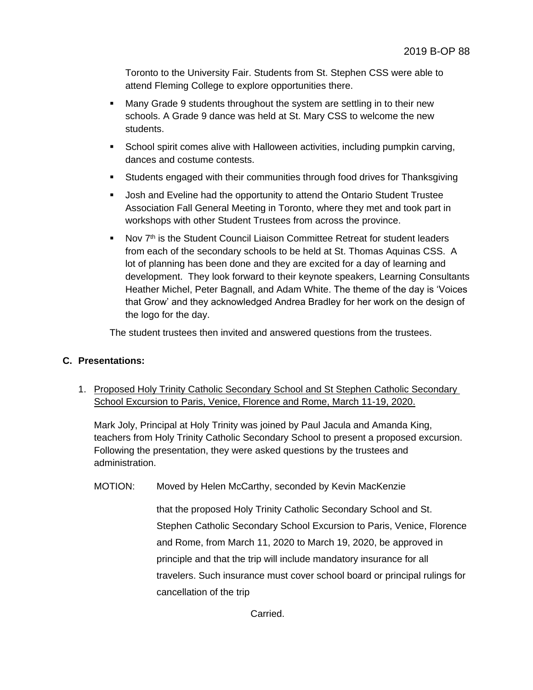Toronto to the University Fair. Students from St. Stephen CSS were able to attend Fleming College to explore opportunities there.

- Many Grade 9 students throughout the system are settling in to their new schools. A Grade 9 dance was held at St. Mary CSS to welcome the new students.
- School spirit comes alive with Halloween activities, including pumpkin carving, dances and costume contests.
- Students engaged with their communities through food drives for Thanksgiving
- Josh and Eveline had the opportunity to attend the Ontario Student Trustee Association Fall General Meeting in Toronto, where they met and took part in workshops with other Student Trustees from across the province.
- Nov  $7<sup>th</sup>$  is the Student Council Liaison Committee Retreat for student leaders from each of the secondary schools to be held at St. Thomas Aquinas CSS. A lot of planning has been done and they are excited for a day of learning and development. They look forward to their keynote speakers, Learning Consultants Heather Michel, Peter Bagnall, and Adam White. The theme of the day is 'Voices that Grow' and they acknowledged Andrea Bradley for her work on the design of the logo for the day.

The student trustees then invited and answered questions from the trustees.

### **C. Presentations:**

1. Proposed Holy Trinity Catholic Secondary School and St Stephen Catholic Secondary School Excursion to Paris, Venice, Florence and Rome, March 11-19, 2020.

Mark Joly, Principal at Holy Trinity was joined by Paul Jacula and Amanda King, teachers from Holy Trinity Catholic Secondary School to present a proposed excursion. Following the presentation, they were asked questions by the trustees and administration.

MOTION: Moved by Helen McCarthy, seconded by Kevin MacKenzie

that the proposed Holy Trinity Catholic Secondary School and St. Stephen Catholic Secondary School Excursion to Paris, Venice, Florence and Rome, from March 11, 2020 to March 19, 2020, be approved in principle and that the trip will include mandatory insurance for all travelers. Such insurance must cover school board or principal rulings for cancellation of the trip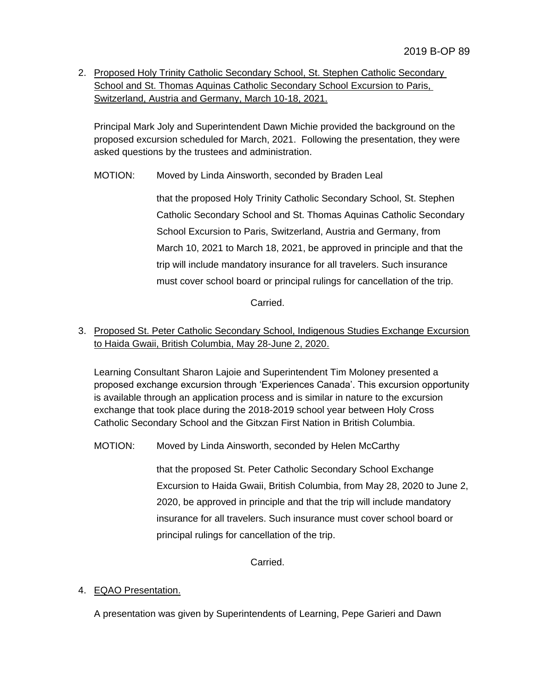2. Proposed Holy Trinity Catholic Secondary School, St. Stephen Catholic Secondary School and St. Thomas Aquinas Catholic Secondary School Excursion to Paris, Switzerland, Austria and Germany, March 10-18, 2021.

Principal Mark Joly and Superintendent Dawn Michie provided the background on the proposed excursion scheduled for March, 2021. Following the presentation, they were asked questions by the trustees and administration.

MOTION: Moved by Linda Ainsworth, seconded by Braden Leal

that the proposed Holy Trinity Catholic Secondary School, St. Stephen Catholic Secondary School and St. Thomas Aquinas Catholic Secondary School Excursion to Paris, Switzerland, Austria and Germany, from March 10, 2021 to March 18, 2021, be approved in principle and that the trip will include mandatory insurance for all travelers. Such insurance must cover school board or principal rulings for cancellation of the trip.

Carried.

3. Proposed St. Peter Catholic Secondary School, Indigenous Studies Exchange Excursion to Haida Gwaii, British Columbia, May 28-June 2, 2020.

Learning Consultant Sharon Lajoie and Superintendent Tim Moloney presented a proposed exchange excursion through 'Experiences Canada'. This excursion opportunity is available through an application process and is similar in nature to the excursion exchange that took place during the 2018-2019 school year between Holy Cross Catholic Secondary School and the Gitxzan First Nation in British Columbia.

MOTION: Moved by Linda Ainsworth, seconded by Helen McCarthy

that the proposed St. Peter Catholic Secondary School Exchange Excursion to Haida Gwaii, British Columbia, from May 28, 2020 to June 2, 2020, be approved in principle and that the trip will include mandatory insurance for all travelers. Such insurance must cover school board or principal rulings for cancellation of the trip.

Carried.

# 4. EQAO Presentation.

A presentation was given by Superintendents of Learning, Pepe Garieri and Dawn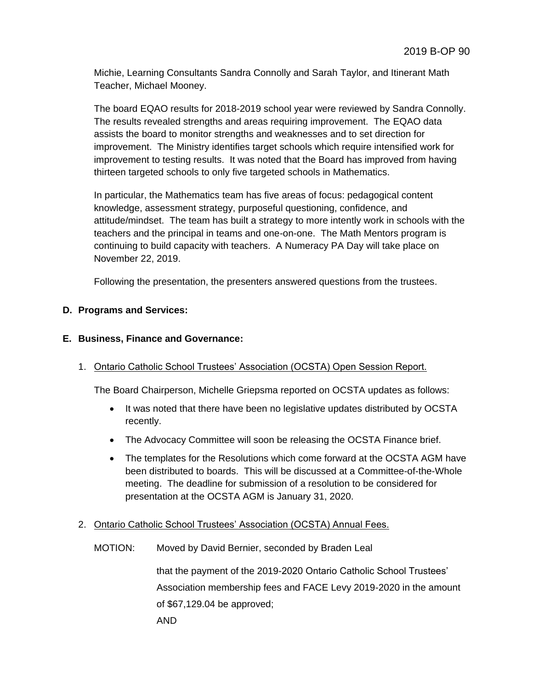Michie, Learning Consultants Sandra Connolly and Sarah Taylor, and Itinerant Math Teacher, Michael Mooney.

The board EQAO results for 2018-2019 school year were reviewed by Sandra Connolly. The results revealed strengths and areas requiring improvement. The EQAO data assists the board to monitor strengths and weaknesses and to set direction for improvement. The Ministry identifies target schools which require intensified work for improvement to testing results. It was noted that the Board has improved from having thirteen targeted schools to only five targeted schools in Mathematics.

In particular, the Mathematics team has five areas of focus: pedagogical content knowledge, assessment strategy, purposeful questioning, confidence, and attitude/mindset. The team has built a strategy to more intently work in schools with the teachers and the principal in teams and one-on-one. The Math Mentors program is continuing to build capacity with teachers. A Numeracy PA Day will take place on November 22, 2019.

Following the presentation, the presenters answered questions from the trustees.

### **D. Programs and Services:**

### **E. Business, Finance and Governance:**

1. Ontario Catholic School Trustees' Association (OCSTA) Open Session Report.

The Board Chairperson, Michelle Griepsma reported on OCSTA updates as follows:

- It was noted that there have been no legislative updates distributed by OCSTA recently.
- The Advocacy Committee will soon be releasing the OCSTA Finance brief.
- The templates for the Resolutions which come forward at the OCSTA AGM have been distributed to boards. This will be discussed at a Committee-of-the-Whole meeting. The deadline for submission of a resolution to be considered for presentation at the OCSTA AGM is January 31, 2020.
- 2. Ontario Catholic School Trustees' Association (OCSTA) Annual Fees.
	- MOTION: Moved by David Bernier, seconded by Braden Leal

that the payment of the 2019-2020 Ontario Catholic School Trustees' Association membership fees and FACE Levy 2019-2020 in the amount of \$67,129.04 be approved; AND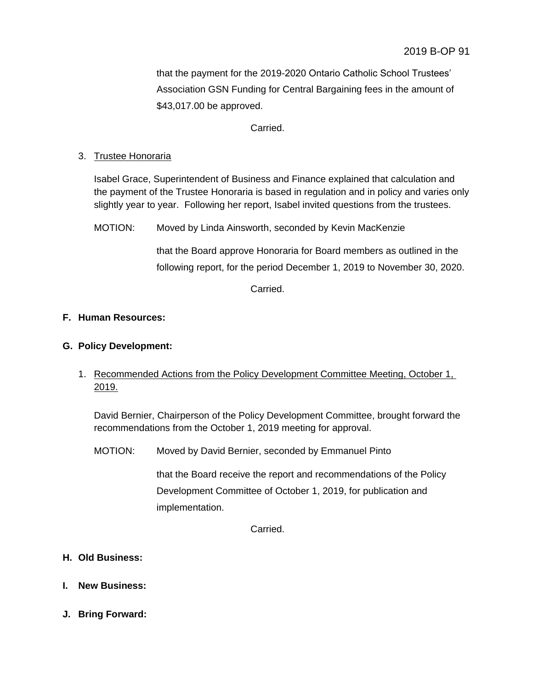that the payment for the 2019-2020 Ontario Catholic School Trustees' Association GSN Funding for Central Bargaining fees in the amount of \$43,017.00 be approved.

Carried.

# 3. Trustee Honoraria

Isabel Grace, Superintendent of Business and Finance explained that calculation and the payment of the Trustee Honoraria is based in regulation and in policy and varies only slightly year to year. Following her report, Isabel invited questions from the trustees.

MOTION: Moved by Linda Ainsworth, seconded by Kevin MacKenzie

that the Board approve Honoraria for Board members as outlined in the following report, for the period December 1, 2019 to November 30, 2020.

Carried.

# **F. Human Resources:**

# **G. Policy Development:**

# 1. Recommended Actions from the Policy Development Committee Meeting, October 1, 2019.

David Bernier, Chairperson of the Policy Development Committee, brought forward the recommendations from the October 1, 2019 meeting for approval.

MOTION: Moved by David Bernier, seconded by Emmanuel Pinto

that the Board receive the report and recommendations of the Policy Development Committee of October 1, 2019, for publication and implementation.

Carried.

- **H. Old Business:**
- **I. New Business:**
- **J. Bring Forward:**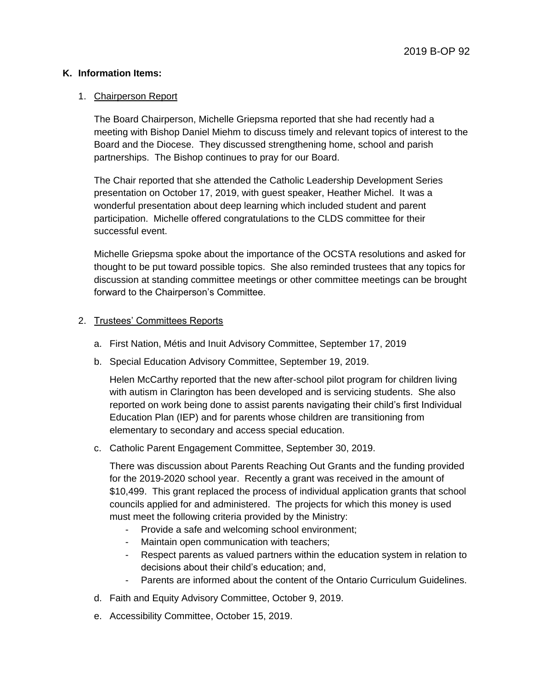### **K. Information Items:**

#### 1. Chairperson Report

The Board Chairperson, Michelle Griepsma reported that she had recently had a meeting with Bishop Daniel Miehm to discuss timely and relevant topics of interest to the Board and the Diocese. They discussed strengthening home, school and parish partnerships. The Bishop continues to pray for our Board.

The Chair reported that she attended the Catholic Leadership Development Series presentation on October 17, 2019, with guest speaker, Heather Michel. It was a wonderful presentation about deep learning which included student and parent participation. Michelle offered congratulations to the CLDS committee for their successful event.

Michelle Griepsma spoke about the importance of the OCSTA resolutions and asked for thought to be put toward possible topics. She also reminded trustees that any topics for discussion at standing committee meetings or other committee meetings can be brought forward to the Chairperson's Committee.

### 2. Trustees' Committees Reports

- a. First Nation, Métis and Inuit Advisory Committee, September 17, 2019
- b. Special Education Advisory Committee, September 19, 2019.

Helen McCarthy reported that the new after-school pilot program for children living with autism in Clarington has been developed and is servicing students. She also reported on work being done to assist parents navigating their child's first Individual Education Plan (IEP) and for parents whose children are transitioning from elementary to secondary and access special education.

c. Catholic Parent Engagement Committee, September 30, 2019.

There was discussion about Parents Reaching Out Grants and the funding provided for the 2019-2020 school year. Recently a grant was received in the amount of \$10,499. This grant replaced the process of individual application grants that school councils applied for and administered. The projects for which this money is used must meet the following criteria provided by the Ministry:

- Provide a safe and welcoming school environment;
- Maintain open communication with teachers;
- Respect parents as valued partners within the education system in relation to decisions about their child's education; and,
- Parents are informed about the content of the Ontario Curriculum Guidelines.
- d. Faith and Equity Advisory Committee, October 9, 2019.
- e. Accessibility Committee, October 15, 2019.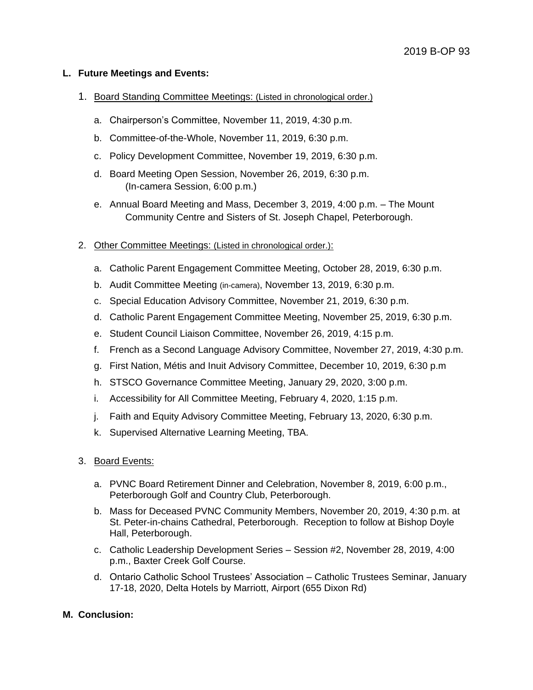### **L. Future Meetings and Events:**

- 1. Board Standing Committee Meetings: (Listed in chronological order.)
	- a. Chairperson's Committee, November 11, 2019, 4:30 p.m.
	- b. Committee-of-the-Whole, November 11, 2019, 6:30 p.m.
	- c. Policy Development Committee, November 19, 2019, 6:30 p.m.
	- d. Board Meeting Open Session, November 26, 2019, 6:30 p.m. (In-camera Session, 6:00 p.m.)
	- e. Annual Board Meeting and Mass, December 3, 2019, 4:00 p.m. The Mount Community Centre and Sisters of St. Joseph Chapel, Peterborough.
- 2. Other Committee Meetings: (Listed in chronological order.):
	- a. Catholic Parent Engagement Committee Meeting, October 28, 2019, 6:30 p.m.
	- b. Audit Committee Meeting (in-camera), November 13, 2019, 6:30 p.m.
	- c. Special Education Advisory Committee, November 21, 2019, 6:30 p.m.
	- d. Catholic Parent Engagement Committee Meeting, November 25, 2019, 6:30 p.m.
	- e. Student Council Liaison Committee, November 26, 2019, 4:15 p.m.
	- f. French as a Second Language Advisory Committee, November 27, 2019, 4:30 p.m.
	- g. First Nation, Métis and Inuit Advisory Committee, December 10, 2019, 6:30 p.m
	- h. STSCO Governance Committee Meeting, January 29, 2020, 3:00 p.m.
	- i. Accessibility for All Committee Meeting, February 4, 2020, 1:15 p.m.
	- j. Faith and Equity Advisory Committee Meeting, February 13, 2020, 6:30 p.m.
	- k. Supervised Alternative Learning Meeting, TBA.
- 3. Board Events:
	- a. PVNC Board Retirement Dinner and Celebration, November 8, 2019, 6:00 p.m., Peterborough Golf and Country Club, Peterborough.
	- b. Mass for Deceased PVNC Community Members, November 20, 2019, 4:30 p.m. at St. Peter-in-chains Cathedral, Peterborough. Reception to follow at Bishop Doyle Hall, Peterborough.
	- c. Catholic Leadership Development Series Session #2, November 28, 2019, 4:00 p.m., Baxter Creek Golf Course.
	- d. Ontario Catholic School Trustees' Association Catholic Trustees Seminar, January 17-18, 2020, Delta Hotels by Marriott, Airport (655 Dixon Rd)

#### **M. Conclusion:**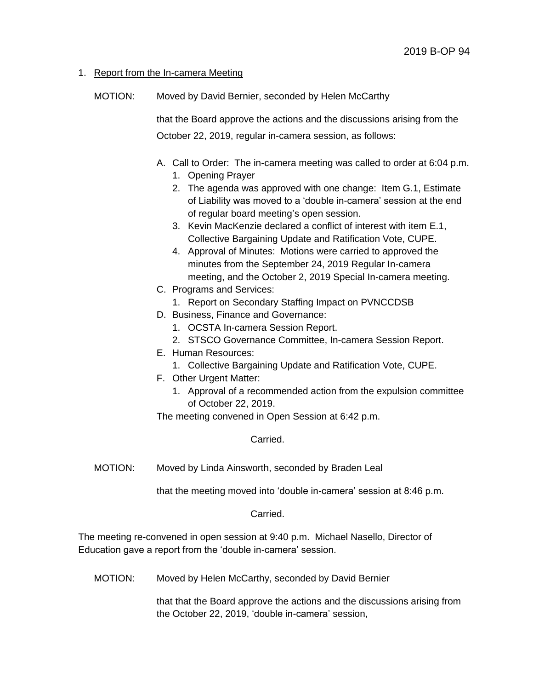### 1. Report from the In-camera Meeting

MOTION: Moved by David Bernier, seconded by Helen McCarthy

that the Board approve the actions and the discussions arising from the October 22, 2019, regular in-camera session, as follows:

- A. Call to Order: The in-camera meeting was called to order at 6:04 p.m.
	- 1. Opening Prayer
	- 2. The agenda was approved with one change: Item G.1, Estimate of Liability was moved to a 'double in-camera' session at the end of regular board meeting's open session.
	- 3. Kevin MacKenzie declared a conflict of interest with item E.1, Collective Bargaining Update and Ratification Vote, CUPE.
	- 4. Approval of Minutes: Motions were carried to approved the minutes from the September 24, 2019 Regular In-camera meeting, and the October 2, 2019 Special In-camera meeting.
- C. Programs and Services:
	- 1. Report on Secondary Staffing Impact on PVNCCDSB
- D. Business, Finance and Governance:
	- 1. OCSTA In-camera Session Report.
	- 2. STSCO Governance Committee, In-camera Session Report.
- E. Human Resources:
	- 1. Collective Bargaining Update and Ratification Vote, CUPE.
- F. Other Urgent Matter:
	- 1. Approval of a recommended action from the expulsion committee of October 22, 2019.

The meeting convened in Open Session at 6:42 p.m.

Carried.

MOTION: Moved by Linda Ainsworth, seconded by Braden Leal

that the meeting moved into 'double in-camera' session at 8:46 p.m.

Carried.

The meeting re-convened in open session at 9:40 p.m. Michael Nasello, Director of Education gave a report from the 'double in-camera' session.

MOTION: Moved by Helen McCarthy, seconded by David Bernier

that that the Board approve the actions and the discussions arising from the October 22, 2019, 'double in-camera' session,